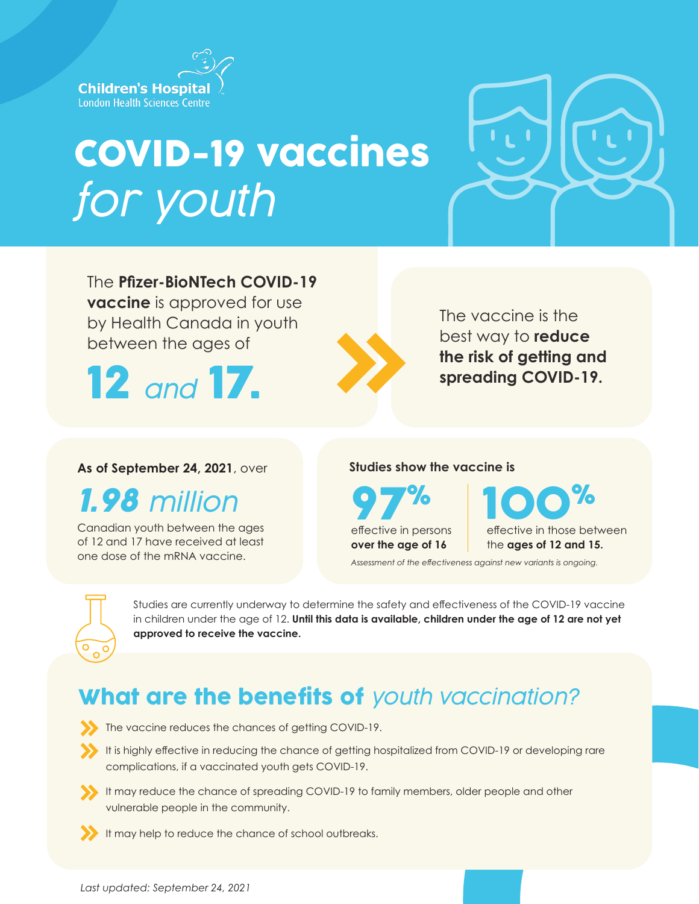

# COVID-19 vaccines *for youth*



The **Pfizer-BioNTech COVID-19 vaccine** is approved for use by Health Canada in youth between the ages of

12 *and* 17.



The vaccine is the best way to **reduce the risk of getting and spreading COVID-19.**

### **As of September 24, 2021**, over

*1.98 million*

Canadian youth between the ages of 12 and 17 have received at least one dose of the mRNA vaccine.

#### **Studies show the vaccine is**

effective in persons **over the age of 16**

effective in those between the **ages of 12 and 15.** effective in persons

*Assessment of the effectiveness against new variants is ongoing.*



Studies are currently underway to determine the safety and effectiveness of the COVID-19 vaccine in children under the age of 12. **Until this data is available, children under the age of 12 are not yet approved to receive the vaccine.**

# What are the benefits of *youth vaccination?*

- The vaccine reduces the chances of getting COVID-19.
- It is highly effective in reducing the chance of getting hospitalized from COVID-19 or developing rare complications, if a vaccinated youth gets COVID-19.
- It may reduce the chance of spreading COVID-19 to family members, older people and other vulnerable people in the community.
- It may help to reduce the chance of school outbreaks.